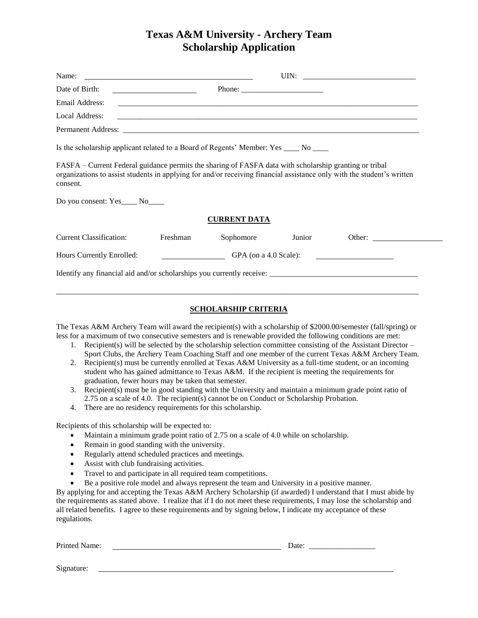## **Texas A&M University - Archery Team Scholarship Application**

| Date of Birth:                                                                                                                                                                                                                               |                                                                                                             | Phone: $\frac{1}{\sqrt{1-\frac{1}{2}}\sqrt{1-\frac{1}{2}}\sqrt{1-\frac{1}{2}}\sqrt{1-\frac{1}{2}}\sqrt{1-\frac{1}{2}}\sqrt{1-\frac{1}{2}}\sqrt{1-\frac{1}{2}}\sqrt{1-\frac{1}{2}}\sqrt{1-\frac{1}{2}}\sqrt{1-\frac{1}{2}}\sqrt{1-\frac{1}{2}}\sqrt{1-\frac{1}{2}}\sqrt{1-\frac{1}{2}}\sqrt{1-\frac{1}{2}}\sqrt{1-\frac{1}{2}}\sqrt{1-\frac{1}{2}}\sqrt{1-\frac{1}{2}}\sqrt{1-\frac{1}{2}}\sqrt{1-\frac{1}{2$ |        |                        |  |
|----------------------------------------------------------------------------------------------------------------------------------------------------------------------------------------------------------------------------------------------|-------------------------------------------------------------------------------------------------------------|--------------------------------------------------------------------------------------------------------------------------------------------------------------------------------------------------------------------------------------------------------------------------------------------------------------------------------------------------------------------------------------------------------------|--------|------------------------|--|
| Email Address:                                                                                                                                                                                                                               |                                                                                                             |                                                                                                                                                                                                                                                                                                                                                                                                              |        |                        |  |
| <b>Local Address:</b>                                                                                                                                                                                                                        |                                                                                                             |                                                                                                                                                                                                                                                                                                                                                                                                              |        |                        |  |
|                                                                                                                                                                                                                                              |                                                                                                             |                                                                                                                                                                                                                                                                                                                                                                                                              |        |                        |  |
| Is the scholarship applicant related to a Board of Regents' Member: Yes _____ No _____                                                                                                                                                       |                                                                                                             |                                                                                                                                                                                                                                                                                                                                                                                                              |        |                        |  |
| FASFA – Current Federal guidance permits the sharing of FASFA data with scholarship granting or tribal<br>organizations to assist students in applying for and/or receiving financial assistance only with the student's written<br>consent. |                                                                                                             |                                                                                                                                                                                                                                                                                                                                                                                                              |        |                        |  |
| Do you consent: Yes_____ No_____                                                                                                                                                                                                             |                                                                                                             |                                                                                                                                                                                                                                                                                                                                                                                                              |        |                        |  |
|                                                                                                                                                                                                                                              |                                                                                                             | <b>CURRENT DATA</b>                                                                                                                                                                                                                                                                                                                                                                                          |        |                        |  |
| <b>Current Classification:</b>                                                                                                                                                                                                               | Freshman                                                                                                    | Sophomore                                                                                                                                                                                                                                                                                                                                                                                                    | Junior | Other: $\qquad \qquad$ |  |
| Hours Currently Enrolled:                                                                                                                                                                                                                    | GPA (on a 4.0 Scale):<br><u> Alexandria (m. 1858)</u><br><u> 1989 - John Stein, Amerikaansk politiker (</u> |                                                                                                                                                                                                                                                                                                                                                                                                              |        |                        |  |
|                                                                                                                                                                                                                                              |                                                                                                             |                                                                                                                                                                                                                                                                                                                                                                                                              |        |                        |  |
|                                                                                                                                                                                                                                              |                                                                                                             |                                                                                                                                                                                                                                                                                                                                                                                                              |        |                        |  |
|                                                                                                                                                                                                                                              |                                                                                                             | $GOTIOT$ $\rightarrow$ DOUTD ODIFICAL                                                                                                                                                                                                                                                                                                                                                                        |        |                        |  |

## **SCHOLARSHIP CRITERIA**

The Texas A&M Archery Team will award the recipient(s) with a scholarship of \$2000.00/semester (fall/spring) or less for a maximum of two consecutive semesters and is renewable provided the following conditions are met:

- 1. Recipient(s) will be selected by the scholarship selection committee consisting of the Assistant Director Sport Clubs, the Archery Team Coaching Staff and one member of the current Texas A&M Archery Team.
- 2. Recipient(s) must be currently enrolled at Texas A&M University as a full-time student, or an incoming student who has gained admittance to Texas A&M. If the recipient is meeting the requirements for graduation, fewer hours may be taken that semester.
- 3. Recipient(s) must be in good standing with the University and maintain a minimum grade point ratio of 2.75 on a scale of 4.0. The recipient(s) cannot be on Conduct or Scholarship Probation.
- 4. There are no residency requirements for this scholarship.

Recipients of this scholarship will be expected to:

- Maintain a minimum grade point ratio of 2.75 on a scale of 4.0 while on scholarship.
- Remain in good standing with the university.
- Regularly attend scheduled practices and meetings.
- Assist with club fundraising activities.
- Travel to and participate in all required team competitions.
- Be a positive role model and always represent the team and University in a positive manner.

By applying for and accepting the Texas A&M Archery Scholarship (if awarded) I understand that I must abide by the requirements as stated above. I realize that if I do not meet these requirements, I may lose the scholarship and all related benefits. I agree to these requirements and by signing below, I indicate my acceptance of these regulations.

Date:

Signature: